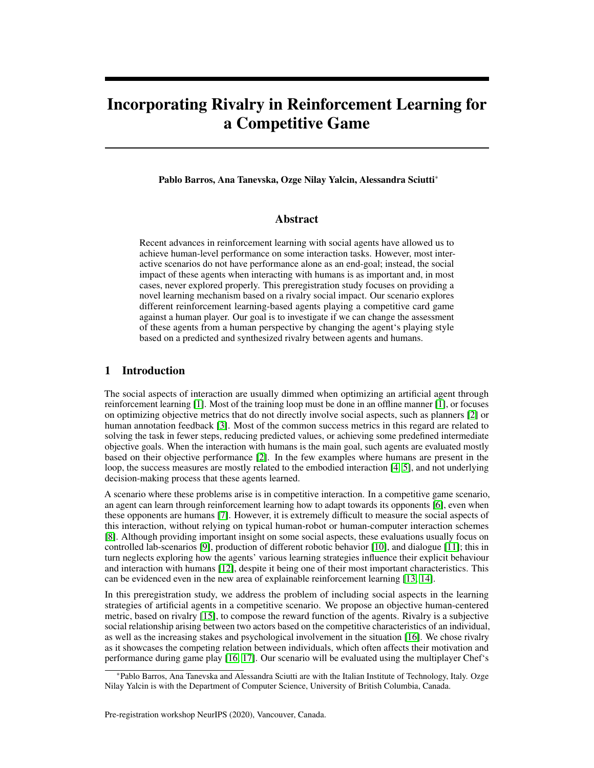# Incorporating Rivalry in Reinforcement Learning for a Competitive Game

Pablo Barros, Ana Tanevska, Ozge Nilay Yalcin, Alessandra Sciutti<sup>∗</sup>

#### Abstract

Recent advances in reinforcement learning with social agents have allowed us to achieve human-level performance on some interaction tasks. However, most interactive scenarios do not have performance alone as an end-goal; instead, the social impact of these agents when interacting with humans is as important and, in most cases, never explored properly. This preregistration study focuses on providing a novel learning mechanism based on a rivalry social impact. Our scenario explores different reinforcement learning-based agents playing a competitive card game against a human player. Our goal is to investigate if we can change the assessment of these agents from a human perspective by changing the agent's playing style based on a predicted and synthesized rivalry between agents and humans.

### 1 Introduction

The social aspects of interaction are usually dimmed when optimizing an artificial agent through reinforcement learning [\[1\]](#page-5-0). Most of the training loop must be done in an offline manner [\[1\]](#page-5-0), or focuses on optimizing objective metrics that do not directly involve social aspects, such as planners [\[2\]](#page-5-1) or human annotation feedback [\[3\]](#page-5-2). Most of the common success metrics in this regard are related to solving the task in fewer steps, reducing predicted values, or achieving some predefined intermediate objective goals. When the interaction with humans is the main goal, such agents are evaluated mostly based on their objective performance [\[2\]](#page-5-1). In the few examples where humans are present in the loop, the success measures are mostly related to the embodied interaction [\[4,](#page-5-3) [5\]](#page-5-4), and not underlying decision-making process that these agents learned.

A scenario where these problems arise is in competitive interaction. In a competitive game scenario, an agent can learn through reinforcement learning how to adapt towards its opponents [\[6\]](#page-6-0), even when these opponents are humans [\[7\]](#page-6-1). However, it is extremely difficult to measure the social aspects of this interaction, without relying on typical human-robot or human-computer interaction schemes [\[8\]](#page-6-2). Although providing important insight on some social aspects, these evaluations usually focus on controlled lab-scenarios [\[9\]](#page-6-3), production of different robotic behavior [\[10\]](#page-6-4), and dialogue [\[11\]](#page-6-5); this in turn neglects exploring how the agents' various learning strategies influence their explicit behaviour and interaction with humans [\[12\]](#page-6-6), despite it being one of their most important characteristics. This can be evidenced even in the new area of explainable reinforcement learning [\[13,](#page-6-7) [14\]](#page-6-8).

In this preregistration study, we address the problem of including social aspects in the learning strategies of artificial agents in a competitive scenario. We propose an objective human-centered metric, based on rivalry [\[15\]](#page-6-9), to compose the reward function of the agents. Rivalry is a subjective social relationship arising between two actors based on the competitive characteristics of an individual, as well as the increasing stakes and psychological involvement in the situation [\[16\]](#page-6-10). We chose rivalry as it showcases the competing relation between individuals, which often affects their motivation and performance during game play [\[16,](#page-6-10) [17\]](#page-6-11). Our scenario will be evaluated using the multiplayer Chef's

<sup>∗</sup>Pablo Barros, Ana Tanevska and Alessandra Sciutti are with the Italian Institute of Technology, Italy. Ozge Nilay Yalcin is with the Department of Computer Science, University of British Columbia, Canada.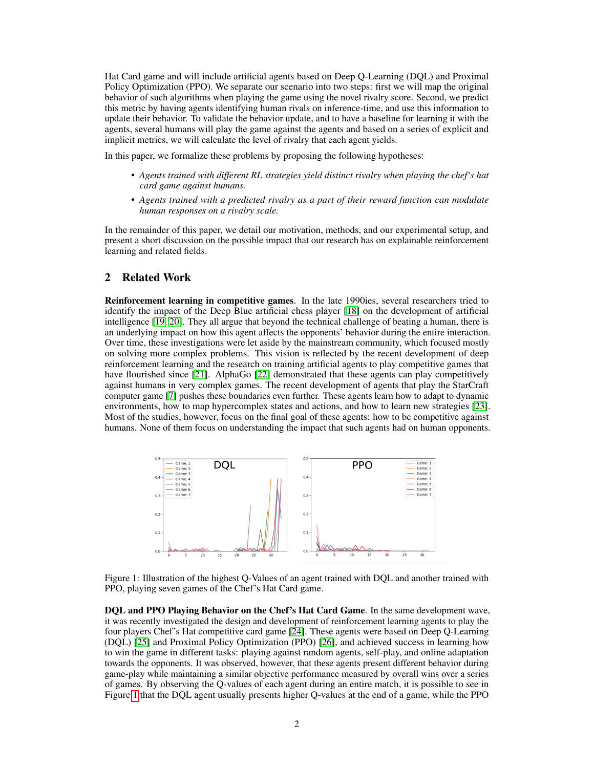Hat Card game and will include artificial agents based on Deep Q-Learning (DQL) and Proximal Policy Optimization (PPO). We separate our scenario into two steps: first we will map the original behavior of such algorithms when playing the game using the novel rivalry score. Second, we predict this metric by having agents identifying human rivals on inference-time, and use this information to update their behavior. To validate the behavior update, and to have a baseline for learning it with the agents, several humans will play the game against the agents and based on a series of explicit and implicit metrics, we will calculate the level of rivalry that each agent yields.

In this paper, we formalize these problems by proposing the following hypotheses:

- *Agents trained with different RL strategies yield distinct rivalry when playing the chef's hat card game against humans.*
- *Agents trained with a predicted rivalry as a part of their reward function can modulate human responses on a rivalry scale.*

In the remainder of this paper, we detail our motivation, methods, and our experimental setup, and present a short discussion on the possible impact that our research has on explainable reinforcement learning and related fields.

## 2 Related Work

Reinforcement learning in competitive games. In the late 1990ies, several researchers tried to identify the impact of the Deep Blue artificial chess player [\[18\]](#page-6-12) on the development of artificial intelligence [\[19,](#page-6-13) [20\]](#page-6-14). They all argue that beyond the technical challenge of beating a human, there is an underlying impact on how this agent affects the opponents' behavior during the entire interaction. Over time, these investigations were let aside by the mainstream community, which focused mostly on solving more complex problems. This vision is reflected by the recent development of deep reinforcement learning and the research on training artificial agents to play competitive games that have flourished since [\[21\]](#page-6-15). AlphaGo [\[22\]](#page-6-16) demonstrated that these agents can play competitively against humans in very complex games. The recent development of agents that play the StarCraft computer game [\[7\]](#page-6-1) pushes these boundaries even further. These agents learn how to adapt to dynamic environments, how to map hypercomplex states and actions, and how to learn new strategies [\[23\]](#page-6-17). Most of the studies, however, focus on the final goal of these agents: how to be competitive against humans. None of them focus on understanding the impact that such agents had on human opponents.



<span id="page-1-0"></span>Figure 1: Illustration of the highest Q-Values of an agent trained with DQL and another trained with PPO, playing seven games of the Chef's Hat Card game.

DQL and PPO Playing Behavior on the Chef's Hat Card Game. In the same development wave, it was recently investigated the design and development of reinforcement learning agents to play the four players Chef's Hat competitive card game [\[24\]](#page-6-18). These agents were based on Deep Q-Learning (DQL) [\[25\]](#page-7-0) and Proximal Policy Optimization (PPO) [\[26\]](#page-7-1), and achieved success in learning how to win the game in different tasks: playing against random agents, self-play, and online adaptation towards the opponents. It was observed, however, that these agents present different behavior during game-play while maintaining a similar objective performance measured by overall wins over a series of games. By observing the Q-values of each agent during an entire match, it is possible to see in Figure [1](#page-1-0) that the DQL agent usually presents higher Q-values at the end of a game, while the PPO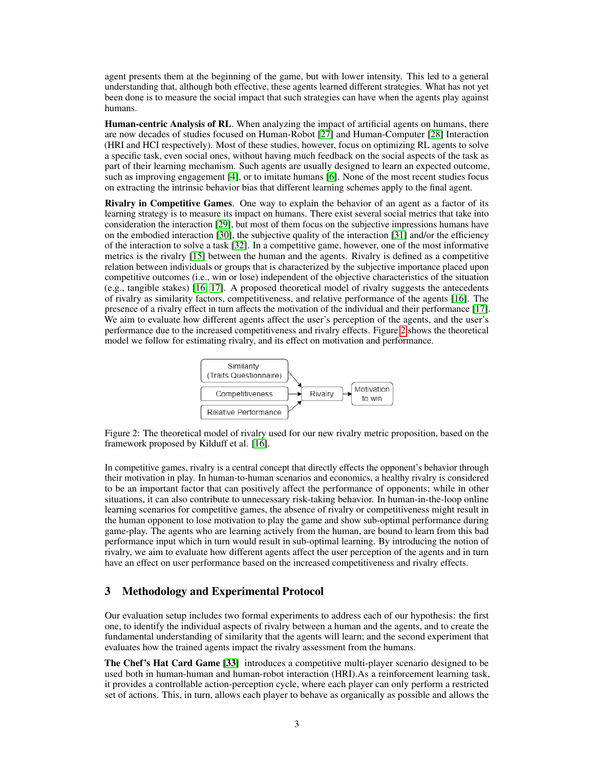agent presents them at the beginning of the game, but with lower intensity. This led to a general understanding that, although both effective, these agents learned different strategies. What has not yet been done is to measure the social impact that such strategies can have when the agents play against humans.

Human-centric Analysis of RL. When analyzing the impact of artificial agents on humans, there are now decades of studies focused on Human-Robot [\[27\]](#page-7-2) and Human-Computer [\[28\]](#page-7-3) Interaction (HRI and HCI respectively). Most of these studies, however, focus on optimizing RL agents to solve a specific task, even social ones, without having much feedback on the social aspects of the task as part of their learning mechanism. Such agents are usually designed to learn an expected outcome, such as improving engagement [\[4\]](#page-5-3), or to imitate humans [\[6\]](#page-6-0). None of the most recent studies focus on extracting the intrinsic behavior bias that different learning schemes apply to the final agent.

Rivalry in Competitive Games. One way to explain the behavior of an agent as a factor of its learning strategy is to measure its impact on humans. There exist several social metrics that take into consideration the interaction [\[29\]](#page-7-4), but most of them focus on the subjective impressions humans have on the embodied interaction [\[30\]](#page-7-5), the subjective quality of the interaction [\[31\]](#page-7-6) and/or the efficiency of the interaction to solve a task [\[32\]](#page-7-7). In a competitive game, however, one of the most informative metrics is the rivalry [\[15\]](#page-6-9) between the human and the agents. Rivalry is defined as a competitive relation between individuals or groups that is characterized by the subjective importance placed upon competitive outcomes (i.e., win or lose) independent of the objective characteristics of the situation (e.g., tangible stakes) [\[16,](#page-6-10) [17\]](#page-6-11). A proposed theoretical model of rivalry suggests the antecedents of rivalry as similarity factors, competitiveness, and relative performance of the agents [\[16\]](#page-6-10). The presence of a rivalry effect in turn affects the motivation of the individual and their performance [\[17\]](#page-6-11). We aim to evaluate how different agents affect the user's perception of the agents, and the user's performance due to the increased competitiveness and rivalry effects. Figure [2](#page-2-0) shows the theoretical model we follow for estimating rivalry, and its effect on motivation and performance.



<span id="page-2-0"></span>Figure 2: The theoretical model of rivalry used for our new rivalry metric proposition, based on the framework proposed by Kilduff et al. [\[16\]](#page-6-10).

In competitive games, rivalry is a central concept that directly effects the opponent's behavior through their motivation in play. In human-to-human scenarios and economics, a healthy rivalry is considered to be an important factor that can positively affect the performance of opponents; while in other situations, it can also contribute to unnecessary risk-taking behavior. In human-in-the-loop online learning scenarios for competitive games, the absence of rivalry or competitiveness might result in the human opponent to lose motivation to play the game and show sub-optimal performance during game-play. The agents who are learning actively from the human, are bound to learn from this bad performance input which in turn would result in sub-optimal learning. By introducing the notion of rivalry, we aim to evaluate how different agents affect the user perception of the agents and in turn have an effect on user performance based on the increased competitiveness and rivalry effects.

## 3 Methodology and Experimental Protocol

Our evaluation setup includes two formal experiments to address each of our hypothesis: the first one, to identify the individual aspects of rivalry between a human and the agents, and to create the fundamental understanding of similarity that the agents will learn; and the second experiment that evaluates how the trained agents impact the rivalry assessment from the humans.

The Chef's Hat Card Game [\[33\]](#page-7-8) introduces a competitive multi-player scenario designed to be used both in human-human and human-robot interaction (HRI).As a reinforcement learning task, it provides a controllable action-perception cycle, where each player can only perform a restricted set of actions. This, in turn, allows each player to behave as organically as possible and allows the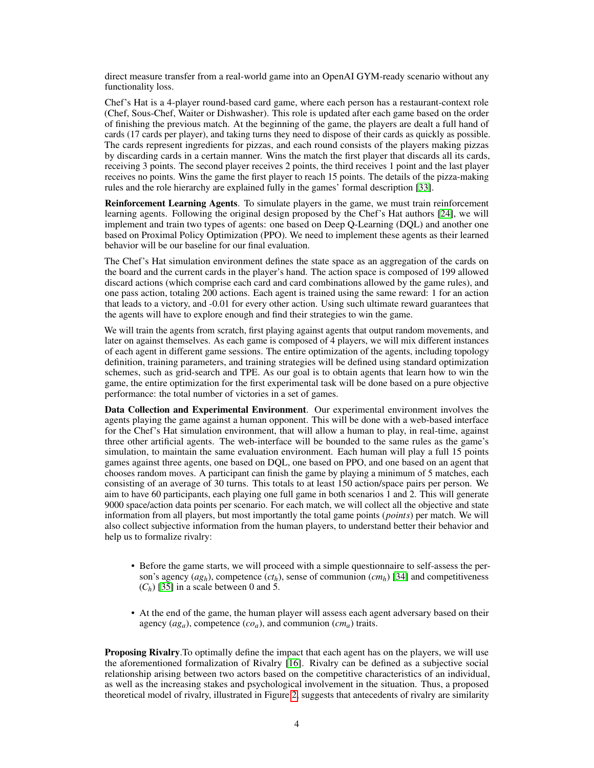direct measure transfer from a real-world game into an OpenAI GYM-ready scenario without any functionality loss.

Chef's Hat is a 4-player round-based card game, where each person has a restaurant-context role (Chef, Sous-Chef, Waiter or Dishwasher). This role is updated after each game based on the order of finishing the previous match. At the beginning of the game, the players are dealt a full hand of cards (17 cards per player), and taking turns they need to dispose of their cards as quickly as possible. The cards represent ingredients for pizzas, and each round consists of the players making pizzas by discarding cards in a certain manner. Wins the match the first player that discards all its cards, receiving 3 points. The second player receives 2 points, the third receives 1 point and the last player receives no points. Wins the game the first player to reach 15 points. The details of the pizza-making rules and the role hierarchy are explained fully in the games' formal description [\[33\]](#page-7-8).

Reinforcement Learning Agents. To simulate players in the game, we must train reinforcement learning agents. Following the original design proposed by the Chef's Hat authors [\[24\]](#page-6-18), we will implement and train two types of agents: one based on Deep Q-Learning (DQL) and another one based on Proximal Policy Optimization (PPO). We need to implement these agents as their learned behavior will be our baseline for our final evaluation.

The Chef's Hat simulation environment defines the state space as an aggregation of the cards on the board and the current cards in the player's hand. The action space is composed of 199 allowed discard actions (which comprise each card and card combinations allowed by the game rules), and one pass action, totaling 200 actions. Each agent is trained using the same reward: 1 for an action that leads to a victory, and -0.01 for every other action. Using such ultimate reward guarantees that the agents will have to explore enough and find their strategies to win the game.

We will train the agents from scratch, first playing against agents that output random movements, and later on against themselves. As each game is composed of 4 players, we will mix different instances of each agent in different game sessions. The entire optimization of the agents, including topology definition, training parameters, and training strategies will be defined using standard optimization schemes, such as grid-search and TPE. As our goal is to obtain agents that learn how to win the game, the entire optimization for the first experimental task will be done based on a pure objective performance: the total number of victories in a set of games.

Data Collection and Experimental Environment. Our experimental environment involves the agents playing the game against a human opponent. This will be done with a web-based interface for the Chef's Hat simulation environment, that will allow a human to play, in real-time, against three other artificial agents. The web-interface will be bounded to the same rules as the game's simulation, to maintain the same evaluation environment. Each human will play a full 15 points games against three agents, one based on DQL, one based on PPO, and one based on an agent that chooses random moves. A participant can finish the game by playing a minimum of 5 matches, each consisting of an average of 30 turns. This totals to at least 150 action/space pairs per person. We aim to have 60 participants, each playing one full game in both scenarios 1 and 2. This will generate 9000 space/action data points per scenario. For each match, we will collect all the objective and state information from all players, but most importantly the total game points (*points*) per match. We will also collect subjective information from the human players, to understand better their behavior and help us to formalize rivalry:

- Before the game starts, we will proceed with a simple questionnaire to self-assess the person's agency  $(ag_h)$ , competence  $(ct_h)$ , sense of communion  $(cm_h)$  [\[34\]](#page-7-9) and competitiveness  $(C_h)$  [\[35\]](#page-7-10) in a scale between 0 and 5.
- At the end of the game, the human player will assess each agent adversary based on their agency (*aga*), competence (*coa*), and communion (*cma*) traits.

Proposing Rivalry.To optimally define the impact that each agent has on the players, we will use the aforementioned formalization of Rivalry [\[16\]](#page-6-10). Rivalry can be defined as a subjective social relationship arising between two actors based on the competitive characteristics of an individual, as well as the increasing stakes and psychological involvement in the situation. Thus, a proposed theoretical model of rivalry, illustrated in Figure [2,](#page-2-0) suggests that antecedents of rivalry are similarity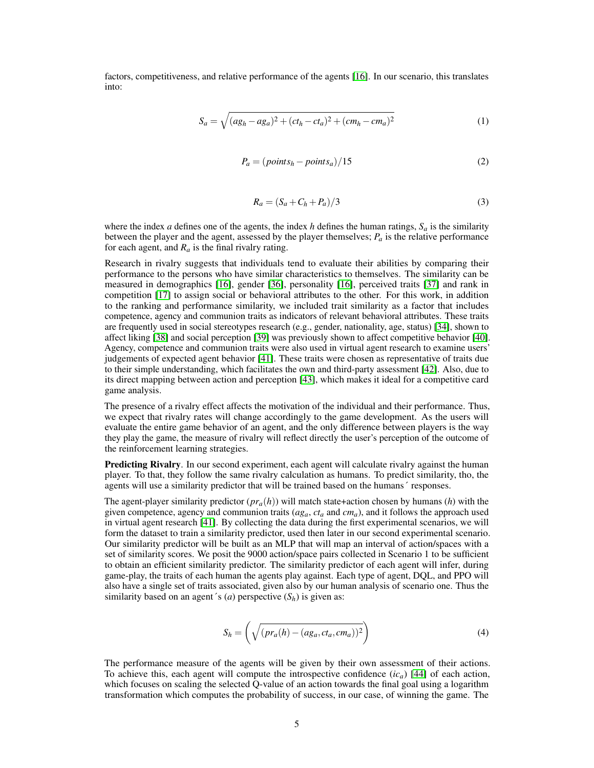factors, competitiveness, and relative performance of the agents [\[16\]](#page-6-10). In our scenario, this translates into:

$$
S_a = \sqrt{(a g_h - a g_a)^2 + (c t_h - c t_a)^2 + (c m_h - c m_a)^2}
$$
 (1)

$$
P_a = (points_h - points_a)/15 \tag{2}
$$

$$
R_a = (S_a + C_h + P_a)/3\tag{3}
$$

where the index *a* defines one of the agents, the index *h* defines the human ratings,  $S_a$  is the similarity between the player and the agent, assessed by the player themselves;  $P_a$  is the relative performance for each agent, and  $R_a$  is the final rivalry rating.

Research in rivalry suggests that individuals tend to evaluate their abilities by comparing their performance to the persons who have similar characteristics to themselves. The similarity can be measured in demographics [\[16\]](#page-6-10), gender [\[36\]](#page-7-11), personality [\[16\]](#page-6-10), perceived traits [\[37\]](#page-7-12) and rank in competition [\[17\]](#page-6-11) to assign social or behavioral attributes to the other. For this work, in addition to the ranking and performance similarity, we included trait similarity as a factor that includes competence, agency and communion traits as indicators of relevant behavioral attributes. These traits are frequently used in social stereotypes research (e.g., gender, nationality, age, status) [\[34\]](#page-7-9), shown to affect liking [\[38\]](#page-7-13) and social perception [\[39\]](#page-7-14) was previously shown to affect competitive behavior [\[40\]](#page-7-15). Agency, competence and communion traits were also used in virtual agent research to examine users' judgements of expected agent behavior [\[41\]](#page-7-16). These traits were chosen as representative of traits due to their simple understanding, which facilitates the own and third-party assessment [\[42\]](#page-7-17). Also, due to its direct mapping between action and perception [\[43\]](#page-7-18), which makes it ideal for a competitive card game analysis.

The presence of a rivalry effect affects the motivation of the individual and their performance. Thus, we expect that rivalry rates will change accordingly to the game development. As the users will evaluate the entire game behavior of an agent, and the only difference between players is the way they play the game, the measure of rivalry will reflect directly the user's perception of the outcome of the reinforcement learning strategies.

Predicting Rivalry. In our second experiment, each agent will calculate rivalry against the human player. To that, they follow the same rivalry calculation as humans. To predict similarity, tho, the agents will use a similarity predictor that will be trained based on the humans´ responses.

The agent-player similarity predictor  $(pr_a(h))$  will match state+action chosen by humans (*h*) with the given competence, agency and communion traits  $(ag_a, ct_a$  and  $cm_a$ ), and it follows the approach used in virtual agent research [\[41\]](#page-7-16). By collecting the data during the first experimental scenarios, we will form the dataset to train a similarity predictor, used then later in our second experimental scenario. Our similarity predictor will be built as an MLP that will map an interval of action/spaces with a set of similarity scores. We posit the 9000 action/space pairs collected in Scenario 1 to be sufficient to obtain an efficient similarity predictor. The similarity predictor of each agent will infer, during game-play, the traits of each human the agents play against. Each type of agent, DQL, and PPO will also have a single set of traits associated, given also by our human analysis of scenario one. Thus the similarity based on an agent's (*a*) perspective  $(S_h)$  is given as:

$$
S_h = \left(\sqrt{(pr_a(h) - (ag_a, ct_a, cm_a))^2}\right)
$$
\n(4)

The performance measure of the agents will be given by their own assessment of their actions. To achieve this, each agent will compute the introspective confidence (*ica*) [\[44\]](#page-7-19) of each action, which focuses on scaling the selected Q-value of an action towards the final goal using a logarithm transformation which computes the probability of success, in our case, of winning the game. The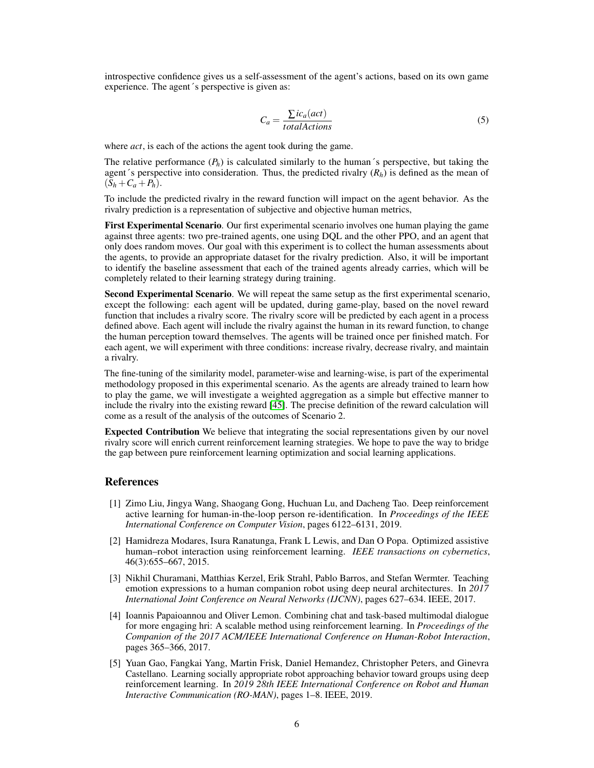introspective confidence gives us a self-assessment of the agent's actions, based on its own game experience. The agent´s perspective is given as:

$$
C_a = \frac{\sum ic_a (act)}{total Actions}
$$
 (5)

where *act*, is each of the actions the agent took during the game.

The relative performance  $(P_h)$  is calculated similarly to the human's perspective, but taking the agent's perspective into consideration. Thus, the predicted rivalry  $(R_h)$  is defined as the mean of  $(S_h + C_a + P_h).$ 

To include the predicted rivalry in the reward function will impact on the agent behavior. As the rivalry prediction is a representation of subjective and objective human metrics,

First Experimental Scenario. Our first experimental scenario involves one human playing the game against three agents: two pre-trained agents, one using DQL and the other PPO, and an agent that only does random moves. Our goal with this experiment is to collect the human assessments about the agents, to provide an appropriate dataset for the rivalry prediction. Also, it will be important to identify the baseline assessment that each of the trained agents already carries, which will be completely related to their learning strategy during training.

Second Experimental Scenario. We will repeat the same setup as the first experimental scenario, except the following: each agent will be updated, during game-play, based on the novel reward function that includes a rivalry score. The rivalry score will be predicted by each agent in a process defined above. Each agent will include the rivalry against the human in its reward function, to change the human perception toward themselves. The agents will be trained once per finished match. For each agent, we will experiment with three conditions: increase rivalry, decrease rivalry, and maintain a rivalry.

The fine-tuning of the similarity model, parameter-wise and learning-wise, is part of the experimental methodology proposed in this experimental scenario. As the agents are already trained to learn how to play the game, we will investigate a weighted aggregation as a simple but effective manner to include the rivalry into the existing reward [\[45\]](#page-8-0). The precise definition of the reward calculation will come as a result of the analysis of the outcomes of Scenario 2.

Expected Contribution We believe that integrating the social representations given by our novel rivalry score will enrich current reinforcement learning strategies. We hope to pave the way to bridge the gap between pure reinforcement learning optimization and social learning applications.

#### References

- <span id="page-5-0"></span>[1] Zimo Liu, Jingya Wang, Shaogang Gong, Huchuan Lu, and Dacheng Tao. Deep reinforcement active learning for human-in-the-loop person re-identification. In *Proceedings of the IEEE International Conference on Computer Vision*, pages 6122–6131, 2019.
- <span id="page-5-1"></span>[2] Hamidreza Modares, Isura Ranatunga, Frank L Lewis, and Dan O Popa. Optimized assistive human–robot interaction using reinforcement learning. *IEEE transactions on cybernetics*, 46(3):655–667, 2015.
- <span id="page-5-2"></span>[3] Nikhil Churamani, Matthias Kerzel, Erik Strahl, Pablo Barros, and Stefan Wermter. Teaching emotion expressions to a human companion robot using deep neural architectures. In *2017 International Joint Conference on Neural Networks (IJCNN)*, pages 627–634. IEEE, 2017.
- <span id="page-5-3"></span>[4] Ioannis Papaioannou and Oliver Lemon. Combining chat and task-based multimodal dialogue for more engaging hri: A scalable method using reinforcement learning. In *Proceedings of the Companion of the 2017 ACM/IEEE International Conference on Human-Robot Interaction*, pages 365–366, 2017.
- <span id="page-5-4"></span>[5] Yuan Gao, Fangkai Yang, Martin Frisk, Daniel Hemandez, Christopher Peters, and Ginevra Castellano. Learning socially appropriate robot approaching behavior toward groups using deep reinforcement learning. In *2019 28th IEEE International Conference on Robot and Human Interactive Communication (RO-MAN)*, pages 1–8. IEEE, 2019.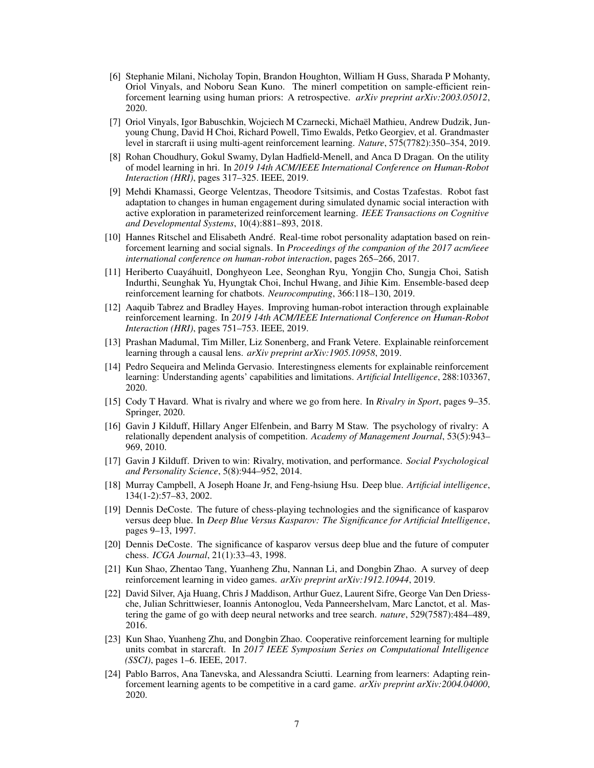- <span id="page-6-0"></span>[6] Stephanie Milani, Nicholay Topin, Brandon Houghton, William H Guss, Sharada P Mohanty, Oriol Vinyals, and Noboru Sean Kuno. The minerl competition on sample-efficient reinforcement learning using human priors: A retrospective. *arXiv preprint arXiv:2003.05012*, 2020.
- <span id="page-6-1"></span>[7] Oriol Vinyals, Igor Babuschkin, Wojciech M Czarnecki, Michaël Mathieu, Andrew Dudzik, Junyoung Chung, David H Choi, Richard Powell, Timo Ewalds, Petko Georgiev, et al. Grandmaster level in starcraft ii using multi-agent reinforcement learning. *Nature*, 575(7782):350–354, 2019.
- <span id="page-6-2"></span>[8] Rohan Choudhury, Gokul Swamy, Dylan Hadfield-Menell, and Anca D Dragan. On the utility of model learning in hri. In *2019 14th ACM/IEEE International Conference on Human-Robot Interaction (HRI)*, pages 317–325. IEEE, 2019.
- <span id="page-6-3"></span>[9] Mehdi Khamassi, George Velentzas, Theodore Tsitsimis, and Costas Tzafestas. Robot fast adaptation to changes in human engagement during simulated dynamic social interaction with active exploration in parameterized reinforcement learning. *IEEE Transactions on Cognitive and Developmental Systems*, 10(4):881–893, 2018.
- <span id="page-6-4"></span>[10] Hannes Ritschel and Elisabeth André. Real-time robot personality adaptation based on reinforcement learning and social signals. In *Proceedings of the companion of the 2017 acm/ieee international conference on human-robot interaction*, pages 265–266, 2017.
- <span id="page-6-5"></span>[11] Heriberto Cuayáhuitl, Donghyeon Lee, Seonghan Ryu, Yongjin Cho, Sungja Choi, Satish Indurthi, Seunghak Yu, Hyungtak Choi, Inchul Hwang, and Jihie Kim. Ensemble-based deep reinforcement learning for chatbots. *Neurocomputing*, 366:118–130, 2019.
- <span id="page-6-6"></span>[12] Aaquib Tabrez and Bradley Hayes. Improving human-robot interaction through explainable reinforcement learning. In *2019 14th ACM/IEEE International Conference on Human-Robot Interaction (HRI)*, pages 751–753. IEEE, 2019.
- <span id="page-6-7"></span>[13] Prashan Madumal, Tim Miller, Liz Sonenberg, and Frank Vetere. Explainable reinforcement learning through a causal lens. *arXiv preprint arXiv:1905.10958*, 2019.
- <span id="page-6-8"></span>[14] Pedro Sequeira and Melinda Gervasio. Interestingness elements for explainable reinforcement learning: Understanding agents' capabilities and limitations. *Artificial Intelligence*, 288:103367, 2020.
- <span id="page-6-9"></span>[15] Cody T Havard. What is rivalry and where we go from here. In *Rivalry in Sport*, pages 9–35. Springer, 2020.
- <span id="page-6-10"></span>[16] Gavin J Kilduff, Hillary Anger Elfenbein, and Barry M Staw. The psychology of rivalry: A relationally dependent analysis of competition. *Academy of Management Journal*, 53(5):943– 969, 2010.
- <span id="page-6-11"></span>[17] Gavin J Kilduff. Driven to win: Rivalry, motivation, and performance. *Social Psychological and Personality Science*, 5(8):944–952, 2014.
- <span id="page-6-12"></span>[18] Murray Campbell, A Joseph Hoane Jr, and Feng-hsiung Hsu. Deep blue. *Artificial intelligence*, 134(1-2):57–83, 2002.
- <span id="page-6-13"></span>[19] Dennis DeCoste. The future of chess-playing technologies and the significance of kasparov versus deep blue. In *Deep Blue Versus Kasparov: The Significance for Artificial Intelligence*, pages 9–13, 1997.
- <span id="page-6-14"></span>[20] Dennis DeCoste. The significance of kasparov versus deep blue and the future of computer chess. *ICGA Journal*, 21(1):33–43, 1998.
- <span id="page-6-15"></span>[21] Kun Shao, Zhentao Tang, Yuanheng Zhu, Nannan Li, and Dongbin Zhao. A survey of deep reinforcement learning in video games. *arXiv preprint arXiv:1912.10944*, 2019.
- <span id="page-6-16"></span>[22] David Silver, Aja Huang, Chris J Maddison, Arthur Guez, Laurent Sifre, George Van Den Driessche, Julian Schrittwieser, Ioannis Antonoglou, Veda Panneershelvam, Marc Lanctot, et al. Mastering the game of go with deep neural networks and tree search. *nature*, 529(7587):484–489, 2016.
- <span id="page-6-17"></span>[23] Kun Shao, Yuanheng Zhu, and Dongbin Zhao. Cooperative reinforcement learning for multiple units combat in starcraft. In *2017 IEEE Symposium Series on Computational Intelligence (SSCI)*, pages 1–6. IEEE, 2017.
- <span id="page-6-18"></span>[24] Pablo Barros, Ana Tanevska, and Alessandra Sciutti. Learning from learners: Adapting reinforcement learning agents to be competitive in a card game. *arXiv preprint arXiv:2004.04000*, 2020.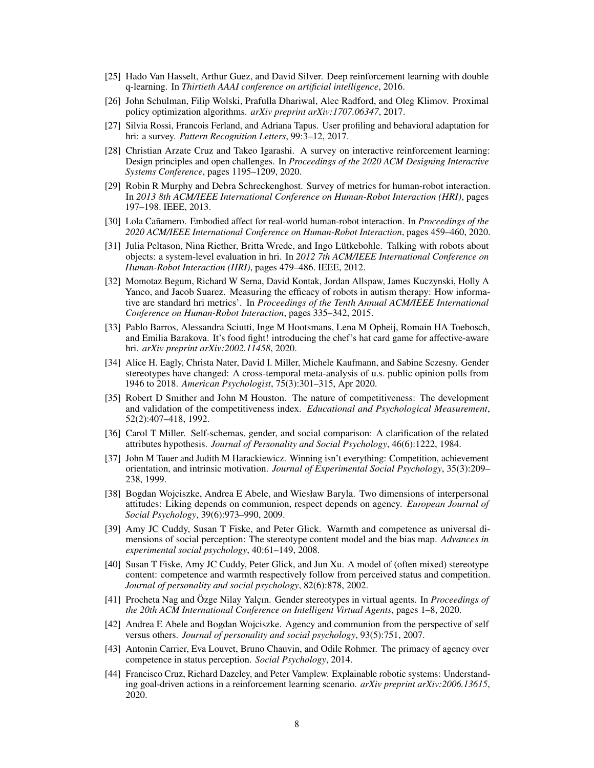- <span id="page-7-0"></span>[25] Hado Van Hasselt, Arthur Guez, and David Silver. Deep reinforcement learning with double q-learning. In *Thirtieth AAAI conference on artificial intelligence*, 2016.
- <span id="page-7-1"></span>[26] John Schulman, Filip Wolski, Prafulla Dhariwal, Alec Radford, and Oleg Klimov. Proximal policy optimization algorithms. *arXiv preprint arXiv:1707.06347*, 2017.
- <span id="page-7-2"></span>[27] Silvia Rossi, Francois Ferland, and Adriana Tapus. User profiling and behavioral adaptation for hri: a survey. *Pattern Recognition Letters*, 99:3–12, 2017.
- <span id="page-7-3"></span>[28] Christian Arzate Cruz and Takeo Igarashi. A survey on interactive reinforcement learning: Design principles and open challenges. In *Proceedings of the 2020 ACM Designing Interactive Systems Conference*, pages 1195–1209, 2020.
- <span id="page-7-4"></span>[29] Robin R Murphy and Debra Schreckenghost. Survey of metrics for human-robot interaction. In *2013 8th ACM/IEEE International Conference on Human-Robot Interaction (HRI)*, pages 197–198. IEEE, 2013.
- <span id="page-7-5"></span>[30] Lola Cañamero. Embodied affect for real-world human-robot interaction. In *Proceedings of the 2020 ACM/IEEE International Conference on Human-Robot Interaction*, pages 459–460, 2020.
- <span id="page-7-6"></span>[31] Julia Peltason, Nina Riether, Britta Wrede, and Ingo Lütkebohle. Talking with robots about objects: a system-level evaluation in hri. In *2012 7th ACM/IEEE International Conference on Human-Robot Interaction (HRI)*, pages 479–486. IEEE, 2012.
- <span id="page-7-7"></span>[32] Momotaz Begum, Richard W Serna, David Kontak, Jordan Allspaw, James Kuczynski, Holly A Yanco, and Jacob Suarez. Measuring the efficacy of robots in autism therapy: How informative are standard hri metrics'. In *Proceedings of the Tenth Annual ACM/IEEE International Conference on Human-Robot Interaction*, pages 335–342, 2015.
- <span id="page-7-8"></span>[33] Pablo Barros, Alessandra Sciutti, Inge M Hootsmans, Lena M Opheij, Romain HA Toebosch, and Emilia Barakova. It's food fight! introducing the chef's hat card game for affective-aware hri. *arXiv preprint arXiv:2002.11458*, 2020.
- <span id="page-7-9"></span>[34] Alice H. Eagly, Christa Nater, David I. Miller, Michele Kaufmann, and Sabine Sczesny. Gender stereotypes have changed: A cross-temporal meta-analysis of u.s. public opinion polls from 1946 to 2018. *American Psychologist*, 75(3):301–315, Apr 2020.
- <span id="page-7-10"></span>[35] Robert D Smither and John M Houston. The nature of competitiveness: The development and validation of the competitiveness index. *Educational and Psychological Measurement*, 52(2):407–418, 1992.
- <span id="page-7-11"></span>[36] Carol T Miller. Self-schemas, gender, and social comparison: A clarification of the related attributes hypothesis. *Journal of Personality and Social Psychology*, 46(6):1222, 1984.
- <span id="page-7-12"></span>[37] John M Tauer and Judith M Harackiewicz. Winning isn't everything: Competition, achievement orientation, and intrinsic motivation. *Journal of Experimental Social Psychology*, 35(3):209– 238, 1999.
- <span id="page-7-13"></span>[38] Bogdan Wojciszke, Andrea E Abele, and Wiesław Baryla. Two dimensions of interpersonal attitudes: Liking depends on communion, respect depends on agency. *European Journal of Social Psychology*, 39(6):973–990, 2009.
- <span id="page-7-14"></span>[39] Amy JC Cuddy, Susan T Fiske, and Peter Glick. Warmth and competence as universal dimensions of social perception: The stereotype content model and the bias map. *Advances in experimental social psychology*, 40:61–149, 2008.
- <span id="page-7-15"></span>[40] Susan T Fiske, Amy JC Cuddy, Peter Glick, and Jun Xu. A model of (often mixed) stereotype content: competence and warmth respectively follow from perceived status and competition. *Journal of personality and social psychology*, 82(6):878, 2002.
- <span id="page-7-16"></span>[41] Procheta Nag and Özge Nilay Yalçın. Gender stereotypes in virtual agents. In *Proceedings of the 20th ACM International Conference on Intelligent Virtual Agents*, pages 1–8, 2020.
- <span id="page-7-17"></span>[42] Andrea E Abele and Bogdan Wojciszke. Agency and communion from the perspective of self versus others. *Journal of personality and social psychology*, 93(5):751, 2007.
- <span id="page-7-18"></span>[43] Antonin Carrier, Eva Louvet, Bruno Chauvin, and Odile Rohmer. The primacy of agency over competence in status perception. *Social Psychology*, 2014.
- <span id="page-7-19"></span>[44] Francisco Cruz, Richard Dazeley, and Peter Vamplew. Explainable robotic systems: Understanding goal-driven actions in a reinforcement learning scenario. *arXiv preprint arXiv:2006.13615*, 2020.